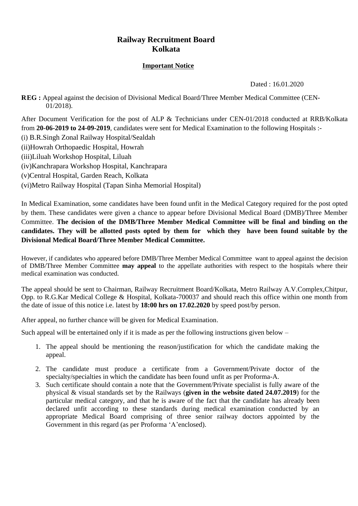## **Railway Recruitment Board Kolkata**

## **Important Notice**

Dated : 16.01.2020

**REG :** Appeal against the decision of Divisional Medical Board/Three Member Medical Committee (CEN-01/2018).

After Document Verification for the post of ALP & Technicians under CEN-01/2018 conducted at RRB/Kolkata from **20-06-2019 to 24-09-2019**, candidates were sent for Medical Examination to the following Hospitals :-

(i) B.R.Singh Zonal Railway Hospital/Sealdah

(ii)Howrah Orthopaedic Hospital, Howrah

(iii)Liluah Workshop Hospital, Liluah

(iv)Kanchrapara Workshop Hospital, Kanchrapara

(v)Central Hospital, Garden Reach, Kolkata

(vi)Metro Railway Hospital (Tapan Sinha Memorial Hospital)

In Medical Examination, some candidates have been found unfit in the Medical Category required for the post opted by them. These candidates were given a chance to appear before Divisional Medical Board (DMB)/Three Member Committee. **The decision of the DMB/Three Member Medical Committee will be final and binding on the candidates. They will be allotted posts opted by them for which they have been found suitable by the Divisional Medical Board/Three Member Medical Committee.** 

However, if candidates who appeared before DMB/Three Member Medical Committee want to appeal against the decision of DMB/Three Member Committee **may appeal** to the appellate authorities with respect to the hospitals where their medical examination was conducted.

The appeal should be sent to Chairman, Railway Recruitment Board/Kolkata, Metro Railway A.V.Complex,Chitpur, Opp. to R.G.Kar Medical College & Hospital, Kolkata-700037 and should reach this office within one month from the date of issue of this notice i.e. latest by **18:00 hrs on 17.02.2020** by speed post/by person.

After appeal, no further chance will be given for Medical Examination.

Such appeal will be entertained only if it is made as per the following instructions given below  $-$ 

- 1. The appeal should be mentioning the reason/justification for which the candidate making the appeal.
- 2. The candidate must produce a certificate from a Government/Private doctor of the specialty/specialties in which the candidate has been found unfit as per Proforma-A.
- 3. Such certificate should contain a note that the Government/Private specialist is fully aware of the physical & visual standards set by the Railways (**given in the website dated 24.07.2019**) for the particular medical category, and that he is aware of the fact that the candidate has already been declared unfit according to these standards during medical examination conducted by an appropriate Medical Board comprising of three senior railway doctors appointed by the Government in this regard (as per Proforma 'A'enclosed).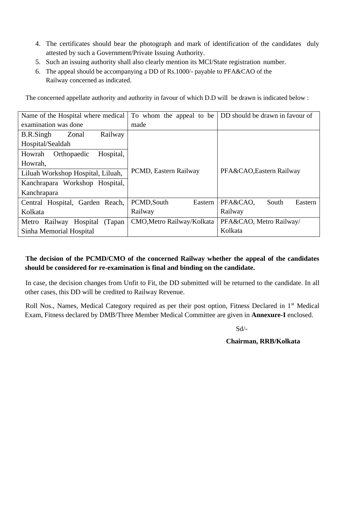- 4. The certificates should bear the photograph and mark of identification of the candidates duly attested by such a Government/Private Issuing Authority.
- 5. Such an issuing authority shall also clearly mention its MCI/State registration number.
- 6. The appeal should be accompanying a DD of Rs.1000/- payable to PFA&CAO of the Railway concerned as indicated.

The concerned appellate authority and authority in favour of which D.D will be drawn is indicated below :

| Name of the Hospital where medical   | To whom the appeal to be   | DD should be drawn in favour of |  |  |
|--------------------------------------|----------------------------|---------------------------------|--|--|
| examination was done                 | made                       |                                 |  |  |
| <b>B.R.Singh</b><br>Railway<br>Zonal |                            |                                 |  |  |
| Hospital/Sealdah                     |                            |                                 |  |  |
| Hospital,<br>Orthopaedic<br>Howrah   |                            |                                 |  |  |
| Howrah,                              |                            |                                 |  |  |
| Liluah Workshop Hospital, Liluah,    | PCMD, Eastern Railway      | PFA&CAO, Eastern Railway        |  |  |
| Kanchrapara Workshop Hospital,       |                            |                                 |  |  |
| Kanchrapara                          |                            |                                 |  |  |
| Central Hospital, Garden Reach,      | PCMD, South<br>Eastern     | PFA&CAO,<br>South<br>Eastern    |  |  |
| Kolkata                              | Railway                    | Railway                         |  |  |
| Railway Hospital<br>(Tapan)<br>Metro | CMO, Metro Railway/Kolkata | PFA&CAO, Metro Railway/         |  |  |
| Sinha Memorial Hospital              |                            | Kolkata                         |  |  |

## **The decision of the PCMD/CMO of the concerned Railway whether the appeal of the candidates should be considered for re-examination is final and binding on the candidate.**

In case, the decision changes from Unfit to Fit, the DD submitted will be returned to the candidate. In all other cases, this DD will be credited to Railway Revenue.

Roll Nos., Names, Medical Category required as per their post option, Fitness Declared in 1<sup>st</sup> Medical Exam, Fitness declared by DMB/Three Member Medical Committee are given in **Annexure-I** enclosed.

Sd/-

**Chairman, RRB/Kolkata**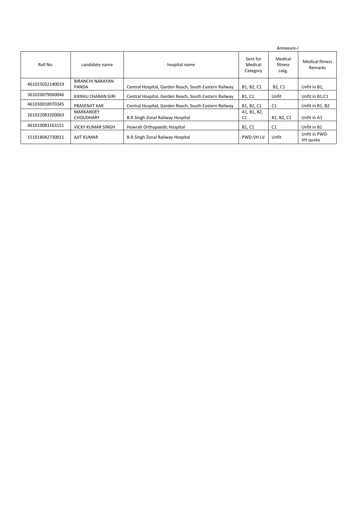|                 |                                      |                                                       |                                 | Annexure-I                      |                                   |  |
|-----------------|--------------------------------------|-------------------------------------------------------|---------------------------------|---------------------------------|-----------------------------------|--|
| Roll No.        | candidate name                       | hospital name                                         | Sent for<br>Medical<br>Category | Medical<br>fitness<br>catg.     | <b>Medical fitness</b><br>Remarks |  |
| 461025032140019 | <b>BIRANCHI NARAYAN</b><br>PANDA     | Central Hospital, Garden Reach, South Eastern Railway | B1, B2, C1                      | B <sub>2</sub> , C <sub>1</sub> | Unfit in B1,                      |  |
| 361020079060046 | KANHU CHARAN GIRI                    | Central Hospital, Garden Reach, South Eastern Railway | B1, C1                          | Unfit                           | Unfit in B1.C1                    |  |
| 461030018970345 | PRASENJIT KAR                        | Central Hospital, Garden Reach, South Eastern Railway | B1, B2, C1                      | C <sub>1</sub>                  | Unfit in B1, B2                   |  |
| 261022083200063 | <b>MARKANDEY</b><br><b>CHOUDHARY</b> | <b>B.R.Singh Zonal Railway Hospital</b>               | A1, B1, B2,<br>C1               | B1, B2, C1                      | Unfit in A1                       |  |
| 461010081163151 | <b>VICKY KUMAR SINGH</b>             | Howrah Orthopaedic Hospital                           | B1, C1                          | C1                              | Unfit in B1                       |  |
| 151018042730011 | AJIT KUMAR                           | B.R.Singh Zonal Railway Hospital                      | <b>PWD-VH LV</b>                | Unfit                           | Unfit in PWD-<br>VH quota         |  |